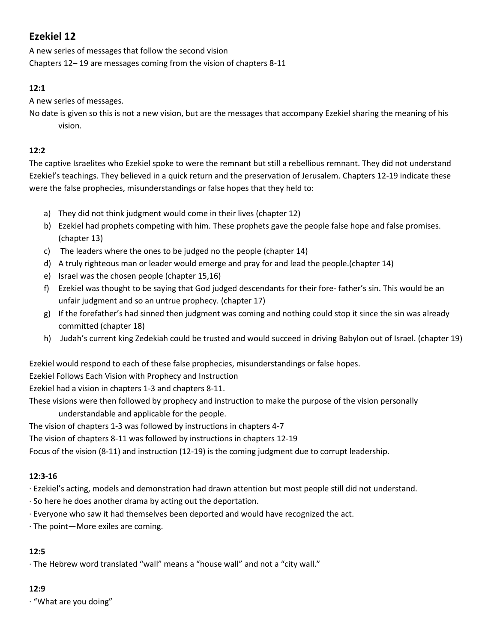# **Ezekiel 12**

A new series of messages that follow the second vision Chapters 12– 19 are messages coming from the vision of chapters 8-11

# **12:1**

A new series of messages.

No date is given so this is not a new vision, but are the messages that accompany Ezekiel sharing the meaning of his vision.

# **12:2**

The captive Israelites who Ezekiel spoke to were the remnant but still a rebellious remnant. They did not understand Ezekiel's teachings. They believed in a quick return and the preservation of Jerusalem. Chapters 12-19 indicate these were the false prophecies, misunderstandings or false hopes that they held to:

- a) They did not think judgment would come in their lives (chapter 12)
- b) Ezekiel had prophets competing with him. These prophets gave the people false hope and false promises. (chapter 13)
- c) The leaders where the ones to be judged no the people (chapter 14)
- d) A truly righteous man or leader would emerge and pray for and lead the people.(chapter 14)
- e) Israel was the chosen people (chapter 15,16)
- f) Ezekiel was thought to be saying that God judged descendants for their fore- father's sin. This would be an unfair judgment and so an untrue prophecy. (chapter 17)
- g) If the forefather's had sinned then judgment was coming and nothing could stop it since the sin was already committed (chapter 18)
- h) Judah's current king Zedekiah could be trusted and would succeed in driving Babylon out of Israel. (chapter 19)

Ezekiel would respond to each of these false prophecies, misunderstandings or false hopes.

Ezekiel Follows Each Vision with Prophecy and Instruction

Ezekiel had a vision in chapters 1-3 and chapters 8-11.

These visions were then followed by prophecy and instruction to make the purpose of the vision personally understandable and applicable for the people.

The vision of chapters 1-3 was followed by instructions in chapters 4-7

The vision of chapters 8-11 was followed by instructions in chapters 12-19

Focus of the vision (8-11) and instruction (12-19) is the coming judgment due to corrupt leadership.

## **12:3-16**

· Ezekiel's acting, models and demonstration had drawn attention but most people still did not understand.

- · So here he does another drama by acting out the deportation.
- · Everyone who saw it had themselves been deported and would have recognized the act.
- · The point—More exiles are coming.

## **12:5**

· The Hebrew word translated "wall" means a "house wall" and not a "city wall."

## **12:9**

· "What are you doing"